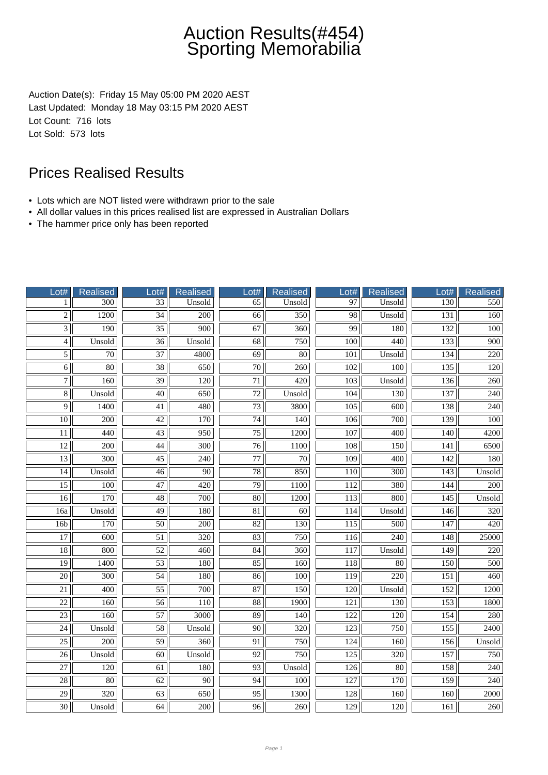Auction Date(s): Friday 15 May 05:00 PM 2020 AEST Last Updated: Monday 18 May 03:15 PM 2020 AEST Lot Count: 716 lots Lot Sold: 573 lots

- Lots which are NOT listed were withdrawn prior to the sale
- All dollar values in this prices realised list are expressed in Australian Dollars
- The hammer price only has been reported

| Lot#            | Realised         | Lot#            | <b>Realised</b>  | Lot#                | <b>Realised</b>  | Lot#             | <b>Realised</b>  | Lot#             | <b>Realised</b>  |
|-----------------|------------------|-----------------|------------------|---------------------|------------------|------------------|------------------|------------------|------------------|
| 1               | 300              | 33              | Unsold           | 65                  | Unsold           | 97               | Unsold           | 130              | 550              |
| $\overline{2}$  | 1200             | $\overline{34}$ | $\overline{200}$ | $\overline{66}$     | $\overline{350}$ | $\overline{98}$  | Unsold           | 131              | 160              |
| $\overline{3}$  | 190              | $\overline{35}$ | 900              | 67                  | 360              | 99               | 180              | 132              | 100              |
| $\overline{4}$  | Unsold           | $\overline{36}$ | Unsold           | $\overline{68}$     | 750              | 100              | 440              | 133              | 900              |
| $\overline{5}$  | 70               | $\overline{37}$ | 4800             | 69                  | 80               | 101              | Unsold           | 134              | 220              |
| $\overline{6}$  | $\overline{80}$  | $\overline{38}$ | 650              | $\overline{70}$     | $\overline{260}$ | 102              | 100              | 135              | 120              |
| $\overline{7}$  | $\overline{160}$ | $\overline{39}$ | $\overline{120}$ | $\overline{71}$     | 420              | $\overline{103}$ | Unsold           | $\overline{136}$ | $\overline{260}$ |
| $\overline{8}$  | Unsold           | $\overline{40}$ | 650              | $\overline{72}$     | Unsold           | 104              | 130              | 137              | 240              |
| 9               | 1400             | 41              | 480              | 73                  | 3800             | $\overline{105}$ | 600              | 138              | 240              |
| 10              | 200              | 42              | 170              | 74                  | 140              | 106              | 700              | 139              | 100              |
| 11              | 440              | 43              | $\overline{950}$ | $\overline{75}$     | 1200             | 107              | 400              | 140              | 4200             |
| $\overline{12}$ | 200              | $\overline{44}$ | $\overline{300}$ | $\overline{76}$     | 1100             | 108              | 150              | 141              | 6500             |
| $\overline{13}$ | $\overline{300}$ | $\overline{45}$ | $\overline{240}$ | $\overline{77}$     | $\overline{70}$  | $\overline{109}$ | $\overline{400}$ | 142              | 180              |
| 14              | Unsold           | $\overline{46}$ | $\overline{90}$  | 78                  | 850              | 110              | 300              | 143              | Unsold           |
| $\overline{15}$ | 100              | $\overline{47}$ | 420              | 79                  | 1100             | 112              | 380              | 144              | 200              |
| 16              | 170              | $\overline{48}$ | 700              | $\overline{80}$     | 1200             | 113              | 800              | 145              | Unsold           |
| 16a             | Unsold           | 49              | 180              | $\overline{81}$     | $\overline{60}$  | 114              | Unsold           | 146              | 320              |
| 16 <sub>b</sub> | 170              | $\overline{50}$ | $\overline{200}$ | $\overline{82}$     | 130              | $\overline{115}$ | 500              | 147              | 420              |
| $\overline{17}$ | $\overline{600}$ | $\overline{51}$ | $\overline{320}$ | 83                  | 750              | 116              | 240              | 148              | 25000            |
| 18              | 800              | 52              | 460              | 84                  | 360              | 117              | Unsold           | 149              | 220              |
| 19              | 1400             | 53              | 180              | 85                  | 160              | 118              | 80               | 150              | 500              |
| $\overline{20}$ | $\overline{300}$ | $\overline{54}$ | 180              | 86                  | 100              | $\overline{119}$ | $\overline{220}$ | 151              | 460              |
| 21              | $\overline{400}$ | $\overline{55}$ | $\overline{700}$ | $\overline{87}$     | 150              | $\overline{120}$ | Unsold           | $\overline{152}$ | 1200             |
| $\overline{22}$ | 160              | $\overline{56}$ | 110              | $\overline{\bf 88}$ | 1900             | $\overline{121}$ | 130              | 153              | 1800             |
| $\overline{23}$ | 160              | 57              | 3000             | 89                  | 140              | 122              | 120              | 154              | 280              |
| 24              | Unsold           | 58              | Unsold           | $\overline{90}$     | 320              | 123              | 750              | 155              | 2400             |
| $\overline{25}$ | 200              | 59              | 360              | 91                  | 750              | 124              | 160              | 156              | Unsold           |
| $\overline{26}$ | Unsold           | $\overline{60}$ | Unsold           | $\overline{92}$     | $\overline{750}$ | $\overline{125}$ | $\overline{320}$ | 157              | 750              |
| $\overline{27}$ | $\overline{120}$ | $\overline{61}$ | 180              | $\overline{93}$     | Unsold           | $\overline{126}$ | $\overline{80}$  | 158              | $\overline{240}$ |
| $\overline{28}$ | $\overline{80}$  | $\overline{62}$ | $\overline{90}$  | $\overline{94}$     | 100              | 127              | 170              | 159              | 240              |
| 29              | 320              | 63              | 650              | 95                  | 1300             | 128              | 160              | 160              | 2000             |
| 30              | Unsold           | 64              | 200              | 96                  | 260              | 129              | 120              | 161              | 260              |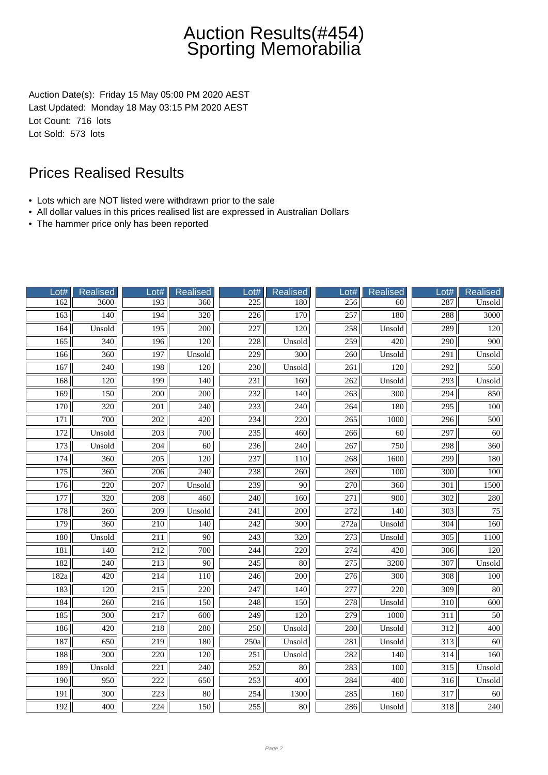Auction Date(s): Friday 15 May 05:00 PM 2020 AEST Last Updated: Monday 18 May 03:15 PM 2020 AEST Lot Count: 716 lots Lot Sold: 573 lots

- Lots which are NOT listed were withdrawn prior to the sale
- All dollar values in this prices realised list are expressed in Australian Dollars
- The hammer price only has been reported

| Lot#             | Realised         | Lot#             | Realised         | Lot#             | <b>Realised</b>  | Lot#             | Realised         | Lot#             | Realised         |
|------------------|------------------|------------------|------------------|------------------|------------------|------------------|------------------|------------------|------------------|
| 162              | 3600             | 193              | 360              | 225              | 180              | 256              | 60               | 287              | Unsold           |
| 163              | $\overline{140}$ | 194              | $\overline{320}$ | $\overline{226}$ | $\overline{170}$ | $\overline{257}$ | 180              | 288              | 3000             |
| 164              | Unsold           | 195              | $\overline{200}$ | 227              | 120              | 258              | Unsold           | 289              | 120              |
| 165              | 340              | 196              | 120              | 228              | Unsold           | 259              | 420              | 290              | 900              |
| 166              | 360              | 197              | Unsold           | 229              | 300              | 260              | Unsold           | 291              | Unsold           |
| 167              | 240              | 198              | 120              | 230              | Unsold           | 261              | $\overline{120}$ | $\overline{292}$ | 550              |
| 168              | 120              | 199              | 140              | 231              | 160              | 262              | Unsold           | 293              | Unsold           |
| 169              | 150              | 200              | 200              | 232              | 140              | $\overline{263}$ | $\overline{300}$ | $\overline{294}$ | 850              |
| 170              | 320              | 201              | 240              | 233              | 240              | 264              | 180              | $\overline{295}$ | 100              |
| 171              | 700              | 202              | 420              | 234              | 220              | 265              | 1000             | 296              | 500              |
| 172              | Unsold           | 203              | 700              | 235              | 460              | 266              | 60               | 297              | 60               |
| 173              | Unsold           | 204              | $\overline{60}$  | 236              | $\overline{240}$ | $\overline{267}$ | 750              | $\overline{298}$ | 360              |
| 174              | 360              | $\overline{205}$ | $\overline{120}$ | 237              | 110              | $\frac{268}{ }$  | 1600             | 299              | 180              |
| 175              | 360              | 206              | 240              | 238              | 260              | 269              | 100              | 300              | 100              |
| 176              | $\overline{220}$ | $\overline{207}$ | Unsold           | 239              | 90               | 270              | 360              | 301              | 1500             |
| 177              | 320              | 208              | 460              | 240              | 160              | 271              | 900              | 302              | 280              |
| 178              | 260              | $\overline{209}$ | Unsold           | $\overline{241}$ | 200              | $\overline{272}$ | 140              | $\overline{303}$ | 75               |
| 179              | 360              | 210              | $\overline{140}$ | 242              | 300              | 272a             | Unsold           | 304              | 160              |
| 180              | Unsold           | $\overline{211}$ | $\overline{90}$  | $\overline{243}$ | $\overline{320}$ | $\overline{273}$ | Unsold           | $\overline{305}$ | 1100             |
| 181              | 140              | 212              | 700              | 244              | 220              | 274              | 420              | 306              | 120              |
| 182              | 240              | 213              | 90               | 245              | 80               | 275              | 3200             | 307              | Unsold           |
| 182a             | $\overline{420}$ | 214              | $\overline{110}$ | 246              | $\overline{200}$ | $\overline{276}$ | 300              | 308              | 100              |
| 183              | $\overline{120}$ | $\overline{215}$ | $\overline{220}$ | $\overline{247}$ | 140              | $\overline{277}$ | $\overline{220}$ | $\overline{309}$ | $\overline{80}$  |
| 184              | $\overline{260}$ | $\overline{216}$ | 150              | 248              | 150              | 278              | Unsold           | 310              | $\overline{600}$ |
| 185              | 300              | 217              | 600              | 249              | 120              | 279              | 1000             | $\overline{311}$ | $\overline{50}$  |
| 186              | 420              | 218              | 280              | 250              | Unsold           | 280              | Unsold           | $\overline{312}$ | 400              |
| 187              | 650              | 219              | 180              | 250a             | Unsold           | 281              | Unsold           | 313              | 60               |
| 188              | $\overline{300}$ | $\overline{220}$ | 120              | $\overline{251}$ | Unsold           | $\overline{282}$ | 140              | $\overline{314}$ | 160              |
| 189              | Unsold           | 221              | 240              | 252              | 80               | 283              | 100              | 315              | Unsold           |
| 190              | 950              | 222              | 650              | 253              | 400              | 284              | 400              | 316              | Unsold           |
| $\overline{191}$ | 300              | 223              | 80               | 254              | 1300             | 285              | 160              | 317              | 60               |
| 192              | 400              | 224              | 150              | 255              | 80               | 286              | Unsold           | 318              | 240              |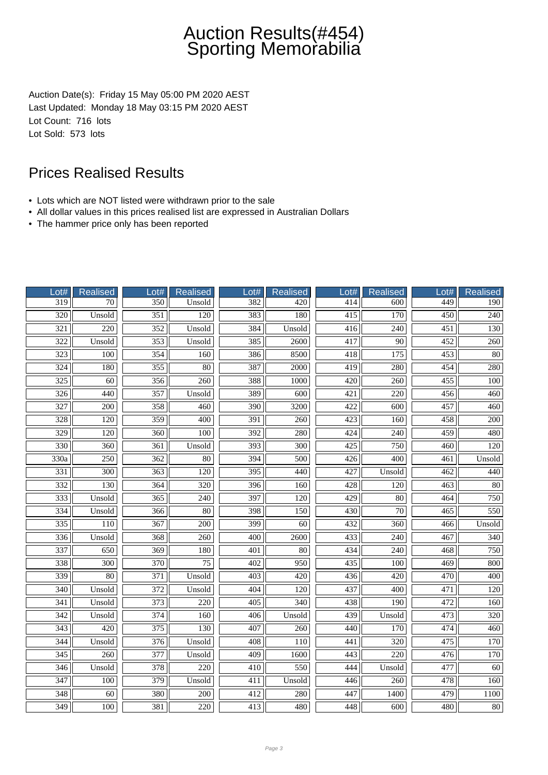Auction Date(s): Friday 15 May 05:00 PM 2020 AEST Last Updated: Monday 18 May 03:15 PM 2020 AEST Lot Count: 716 lots Lot Sold: 573 lots

- Lots which are NOT listed were withdrawn prior to the sale
- All dollar values in this prices realised list are expressed in Australian Dollars
- The hammer price only has been reported

| Lot#              | Realised         | Lot#             | <b>Realised</b>  | $_0$ ot#         | <b>Realised</b>  | Lot#             | Realised         | Lot# | <b>Realised</b>  |
|-------------------|------------------|------------------|------------------|------------------|------------------|------------------|------------------|------|------------------|
| $\overline{319}$  | 70               | 350              | Unsold           | 382              | 420              | 414              | 600              | 449  | 190              |
| $\overline{320}$  | Unsold           | $\overline{351}$ | $\overline{120}$ | 383              | 180              | $\overline{415}$ | 170              | 450  | $\overline{240}$ |
| $\overline{321}$  | 220              | $\overline{352}$ | Unsold           | 384              | Unsold           | 416              | $\overline{240}$ | 451  | 130              |
| $\overline{322}$  | Unsold           | 353              | Unsold           | 385              | 2600             | 417              | 90               | 452  | 260              |
| 323               | 100              | 354              | 160              | 386              | 8500             | 418              | 175              | 453  | $80\,$           |
| $\frac{1}{324}$   | 180              | 355              | 80               | 387              | 2000             | 419              | 280              | 454  | 280              |
| 325               | 60               | 356              | 260              | 388              | 1000             | 420              | 260              | 455  | 100              |
| $\overline{326}$  | 440              | 357              | Unsold           | 389              | $\overline{600}$ | $\overline{421}$ | $\overline{220}$ | 456  | 460              |
| 327               | 200              | 358              | 460              | $\overline{390}$ | 3200             | 422              | 600              | 457  | 460              |
| 328               | 120              | 359              | 400              | 391              | 260              | 423              | 160              | 458  | 200              |
| 329               | 120              | 360              | 100              | 392              | 280              | 424              | 240              | 459  | 480              |
| 330               | 360              | 361              | Unsold           | $\overline{393}$ | 300              | $\overline{425}$ | 750              | 460  | 120              |
| $\overline{330a}$ | $\overline{250}$ | 362              | $\overline{80}$  | 394              | 500              | 426              | $\overline{400}$ | 461  | Unsold           |
| 331               | 300              | 363              | 120              | $\overline{395}$ | 440              | 427              | Unsold           | 462  | 440              |
| 332               | 130              | 364              | 320              | 396              | 160              | 428              | 120              | 463  | 80               |
| 333               | Unsold           | 365              | 240              | 397              | 120              | 429              | 80               | 464  | 750              |
| $\frac{1}{334}$   | Unsold           | 366              | 80               | $\overline{398}$ | 150              | 430              | $\overline{70}$  | 465  | 550              |
| 335               | 110              | 367              | 200              | 399              | 60               | 432              | 360              | 466  | Unsold           |
| 336               | Unsold           | 368              | $\overline{260}$ | 400              | 2600             | 433              | $\overline{240}$ | 467  | 340              |
| 337               | 650              | 369              | 180              | 401              | 80               | 434              | 240              | 468  | 750              |
| 338               | 300              | 370              | 75               | 402              | 950              | 435              | 100              | 469  | 800              |
| 339               | $\overline{80}$  | 371              | Unsold           | 403              | 420              | 436              | 420              | 470  | $\overline{400}$ |
| $\overline{340}$  | Unsold           | 372              | Unsold           | 404              | $\overline{120}$ | 437              | $\overline{400}$ | 471  | 120              |
| $\overline{341}$  | Unsold           | $\overline{373}$ | $\overline{220}$ | 405              | $\overline{340}$ | 438              | 190              | 472  | 160              |
| 342               | Unsold           | 374              | 160              | 406              | Unsold           | 439              | Unsold           | 473  | 320              |
| $\overline{343}$  | 420              | 375              | 130              | 407              | 260              | 440              | 170              | 474  | 460              |
| 344               | Unsold           | 376              | Unsold           | 408              | 110              | 441              | 320              | 475  | 170              |
| $\overline{345}$  | 260              | $\overline{377}$ | Unsold           | 409              | 1600             | $\overline{443}$ | 220              | 476  | $\overline{170}$ |
| 346               | Unsold           | 378              | 220              | 410              | 550              | 444              | Unsold           | 477  | 60               |
| $\overline{347}$  | 100              | 379              | Unsold           | 411              | Unsold           | 446              | 260              | 478  | 160              |
| 348               | 60               | 380              | 200              | 412              | 280              | 447              | 1400             | 479  | <b>1100</b>      |
| 349               | 100              | 381              | 220              | 413              | 480              | 448              | 600              | 480  | $80\,$           |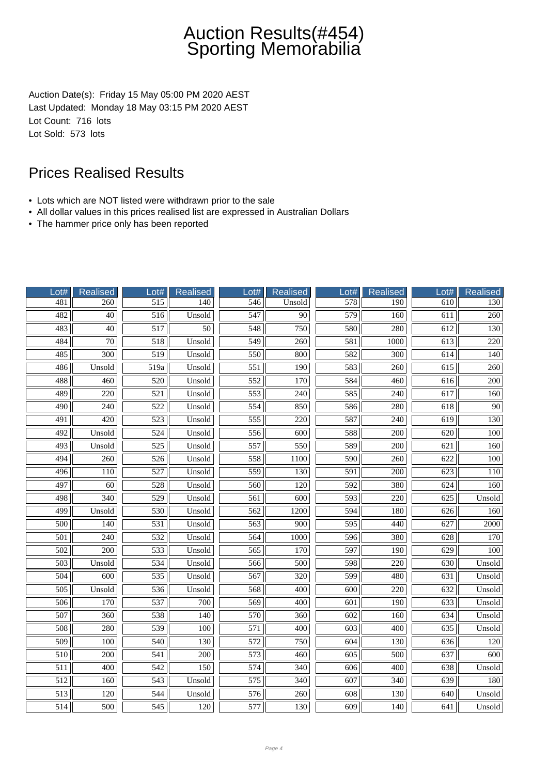Auction Date(s): Friday 15 May 05:00 PM 2020 AEST Last Updated: Monday 18 May 03:15 PM 2020 AEST Lot Count: 716 lots Lot Sold: 573 lots

- Lots which are NOT listed were withdrawn prior to the sale
- All dollar values in this prices realised list are expressed in Australian Dollars
- The hammer price only has been reported

| Lot#             | <b>Realised</b>  | Lot#             | <b>Realised</b> | ot#              | <b>Realised</b>  | Lot#             | Realised         | Lot#             | <b>Realised</b>  |
|------------------|------------------|------------------|-----------------|------------------|------------------|------------------|------------------|------------------|------------------|
| 481              | 260              | 515              | 140             | 546              | Unsold           | 578              | 190              | 610              | 130              |
| 482              | $\overline{40}$  | $\overline{516}$ | Unsold          | $\overline{547}$ | $\overline{90}$  | 579              | 160              | 611              | $\overline{260}$ |
| 483              | $\overline{40}$  | 517              | $\overline{50}$ | 548              | 750              | 580              | 280              | 612              | 130              |
| 484              | $\overline{70}$  | 518              | Unsold          | 549              | 260              | 581              | 1000             | $\overline{613}$ | 220              |
| 485              | 300              | 519              | Unsold          | 550              | 800              | 582              | 300              | 614              | 140              |
| 486              | Unsold           | 519a             | Unsold          | $\overline{551}$ | $\overline{190}$ | 583              | 260              | 615              | 260              |
| 488              | 460              | 520              | Unsold          | 552              | 170              | 584              | 460              | 616              | 200              |
| 489              | $\overline{220}$ | $\overline{521}$ | Unsold          | $\overline{553}$ | 240              | 585              | $\overline{240}$ | 617              | 160              |
| 490              | 240              | 522              | Unsold          | 554              | 850              | 586              | 280              | 618              | 90               |
| 491              | 420              | 523              | Unsold          | 555              | 220              | 587              | 240              | 619              | 130              |
| 492              | Unsold           | 524              | Unsold          | 556              | 600              | 588              | 200              | 620              | 100              |
| 493              | Unsold           | 525              | Unsold          | 557              | 550              | 589              | $\overline{200}$ | 621              | 160              |
| 494              | $\overline{260}$ | 526              | Unsold          | 558              | 1100             | 590              | $\overline{260}$ | 622              | 100              |
| 496              | 110              | 527              | Unsold          | 559              | 130              | 591              | $\overline{200}$ | 623              | 110              |
| 497              | $\overline{60}$  | 528              | Unsold          | 560              | 120              | 592              | 380              | 624              | 160              |
| 498              | 340              | 529              | Unsold          | 561              | 600              | 593              | 220              | 625              | Unsold           |
| 499              | Unsold           | 530              | Unsold          | $\overline{562}$ | 1200             | 594              | 180              | 626              | 160              |
| 500              | 140              | 531              | Unsold          | 563              | 900              | 595              | 440              | 627              | 2000             |
| $\overline{501}$ | $\overline{240}$ | 532              | Unsold          | 564              | 1000             | 596              | 380              | 628              | 170              |
| 502              | 200              | 533              | Unsold          | 565              | 170              | 597              | 190              | 629              | 100              |
| 503              | Unsold           | 534              | Unsold          | 566              | 500              | 598              | 220              | 630              | Unsold           |
| 504              | 600              | 535              | Unsold          | 567              | 320              | 599              | 480              | 631              | Unsold           |
| $\overline{505}$ | Unsold           | 536              | Unsold          | 568              | $\overline{400}$ | $\overline{600}$ | $\overline{220}$ | $\overline{632}$ | Unsold           |
| 506              | 170              | 537              | 700             | 569              | 400              | $\overline{601}$ | 190              | 633              | Unsold           |
| 507              | 360              | 538              | 140             | 570              | 360              | 602              | 160              | 634              | Unsold           |
| 508              | 280              | 539              | 100             | $\overline{571}$ | 400              | 603              | 400              | 635              | Unsold           |
| 509              | 100              | 540              | 130             | 572              | 750              | 604              | 130              | 636              | 120              |
| $\overline{510}$ | 200              | 541              | 200             | 573              | 460              | $\overline{605}$ | 500              | 637              | 600              |
| 511              | 400              | 542              | 150             | 574              | 340              | 606              | 400              | 638              | Unsold           |
| 512              | 160              | 543              | Unsold          | 575              | 340              | 607              | 340              | 639              | 180              |
| 513              | 120              | 544              | Unsold          | 576              | 260              | 608              | 130              | 640              | Unsold           |
| 514              | 500              | 545              | 120             | 577              | 130              | 609              | 140              | 641              | Unsold           |